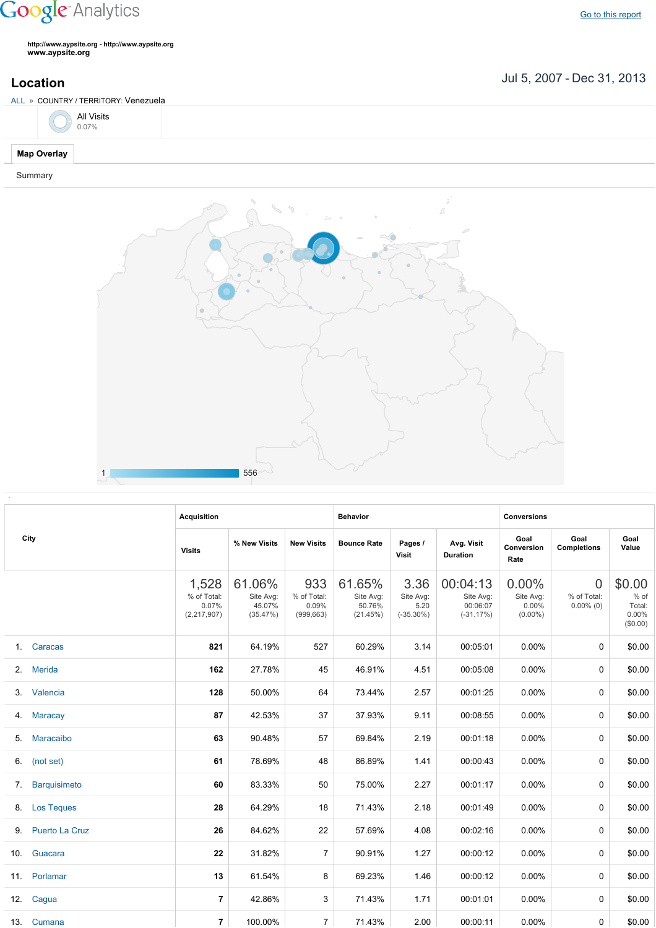## **Google** Analytics

Go to this [report](https://www.google.com/analytics/web/?utm_source=pdfReportLink#report/visitors-geo/a2184169w3912412p4016214/%3F_u.date00%3D20070705%26_u.date01%3D20131231%26geo-table.plotKeys%3D%5B%5D%26geo-table.rowStart%3D0%26geo-table.rowCount%3D1000%26_r.drilldown%3Danalytics.country%3AVE%26geo-segmentExplorer.segmentId%3Danalytics.city/)

**http://www.aypsite.org http://www.aypsite.org www.aypsite.org**

Jul 5, 2007 Dec 31, 2013 **Location**



Summary



|    | City              | <b>Acquisition</b>                           |                                           |                                           | <b>Behavior</b>                           |                                           |                                                  | <b>Conversions</b>                           |                                               |                                                 |
|----|-------------------|----------------------------------------------|-------------------------------------------|-------------------------------------------|-------------------------------------------|-------------------------------------------|--------------------------------------------------|----------------------------------------------|-----------------------------------------------|-------------------------------------------------|
|    |                   | <b>Visits</b>                                | % New Visits                              | <b>New Visits</b>                         | <b>Bounce Rate</b>                        | Pages /<br>Visit                          | Avg. Visit<br><b>Duration</b>                    | Goal<br>Conversion<br>Rate                   | Goal<br><b>Completions</b>                    | Goal<br>Value                                   |
|    |                   | 1,528<br>% of Total:<br>0.07%<br>(2,217,907) | 61.06%<br>Site Avg:<br>45.07%<br>(35.47%) | 933<br>% of Total:<br>0.09%<br>(999, 663) | 61.65%<br>Site Avg:<br>50.76%<br>(21.45%) | 3.36<br>Site Avg:<br>5.20<br>$(-35.30\%)$ | 00:04:13<br>Site Avg:<br>00:06:07<br>$(-31.17%)$ | $0.00\%$<br>Site Avg:<br>0.00%<br>$(0.00\%)$ | $\overline{0}$<br>% of Total:<br>$0.00\%$ (0) | \$0.00<br>$%$ of<br>Total:<br>0.00%<br>(\$0.00) |
|    | 1. Caracas        | 821                                          | 64.19%                                    | 527                                       | 60.29%                                    | 3.14                                      | 00:05:01                                         | 0.00%                                        | $\Omega$                                      | \$0.00                                          |
|    | 2. Merida         | 162                                          | 27.78%                                    | 45                                        | 46.91%                                    | 4.51                                      | 00:05:08                                         | 0.00%                                        | 0                                             | \$0.00                                          |
|    | 3. Valencia       | 128                                          | 50.00%                                    | 64                                        | 73.44%                                    | 2.57                                      | 00:01:25                                         | 0.00%                                        | 0                                             | \$0.00                                          |
|    | 4. Maracay        | 87                                           | 42.53%                                    | 37                                        | 37.93%                                    | 9.11                                      | 00:08:55                                         | $0.00\%$                                     | 0                                             | \$0.00                                          |
| 5. | Maracaibo         | 63                                           | 90.48%                                    | 57                                        | 69.84%                                    | 2.19                                      | 00:01:18                                         | $0.00\%$                                     | 0                                             | \$0.00                                          |
|    | 6. (not set)      | 61                                           | 78.69%                                    | 48                                        | 86.89%                                    | 1.41                                      | 00:00:43                                         | $0.00\%$                                     | $\Omega$                                      | \$0.00                                          |
|    | 7. Barquisimeto   | 60                                           | 83.33%                                    | 50                                        | 75.00%                                    | 2.27                                      | 00:01:17                                         | 0.00%                                        | $\Omega$                                      | \$0.00                                          |
|    | 8. Los Teques     | 28                                           | 64.29%                                    | 18                                        | 71.43%                                    | 2.18                                      | 00:01:49                                         | 0.00%                                        | $\Omega$                                      | \$0.00                                          |
|    | 9. Puerto La Cruz | 26                                           | 84.62%                                    | 22                                        | 57.69%                                    | 4.08                                      | 00:02:16                                         | 0.00%                                        | 0                                             | \$0.00                                          |
|    | 10. Guacara       | 22                                           | 31.82%                                    | $\overline{7}$                            | 90.91%                                    | 1.27                                      | 00:00:12                                         | 0.00%                                        | $\Omega$                                      | \$0.00                                          |
|    | 11. Porlamar      | 13                                           | 61.54%                                    | 8                                         | 69.23%                                    | 1.46                                      | 00:00:12                                         | $0.00\%$                                     | $\Omega$                                      | \$0.00                                          |
|    | 12. Cagua         | $\overline{7}$                               | 42.86%                                    | 3                                         | 71.43%                                    | 1.71                                      | 00:01:01                                         | $0.00\%$                                     | $\Omega$                                      | \$0.00                                          |
|    | 13. Cumana        | $\overline{7}$                               | 100.00%                                   | $\overline{7}$                            | 71.43%                                    | 2.00                                      | 00:00:11                                         | 0.00%                                        | 0                                             | \$0.00                                          |